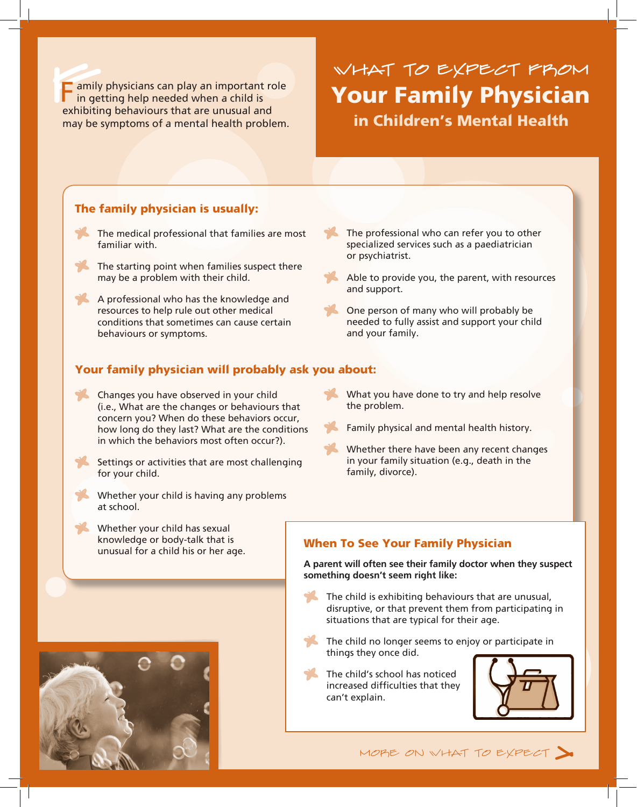Family<br>in get F amily physicians can play an important role in getting help needed when a child is exhibiting behaviours that are unusual and may be symptoms of a mental health problem.

# Your Family Physician in Children's Mental Health What to Expect From

### The family physician is usually:

- The medical professional that families are most familiar with.
- The starting point when families suspect there may be a problem with their child.
- A professional who has the knowledge and resources to help rule out other medical conditions that sometimes can cause certain behaviours or symptoms.
- The professional who can refer you to other specialized services such as a paediatrician or psychiatrist.
- Able to provide you, the parent, with resources and support.
- One person of many who will probably be needed to fully assist and support your child and your family.

### Your family physician will probably ask you about:

- Changes you have observed in your child (i.e., What are the changes or behaviours that concern you? When do these behaviors occur, how long do they last? What are the conditions in which the behaviors most often occur?).
- Settings or activities that are most challenging for your child.
- Whether your child is having any problems at school.
- What you have done to try and help resolve the problem.
- Family physical and mental health history.
- Whether there have been any recent changes in your family situation (e.g., death in the family, divorce).

Whether your child has sexual knowledge or body-talk that is unusual for a child his or her age.



### When To See Your Family Physician

A parent will often see their family doctor when they suspect something doesn't seem right like:

- The child is exhibiting behaviours that are unusual, disruptive, or that prevent them from participating in situations that are typical for their age.
- The child no longer seems to enjoy or participate in things they once did.
- The child's school has noticed increased difficulties that they can't explain.



MORE ON WHAT TO EXPECT  $\blacktriangleright$